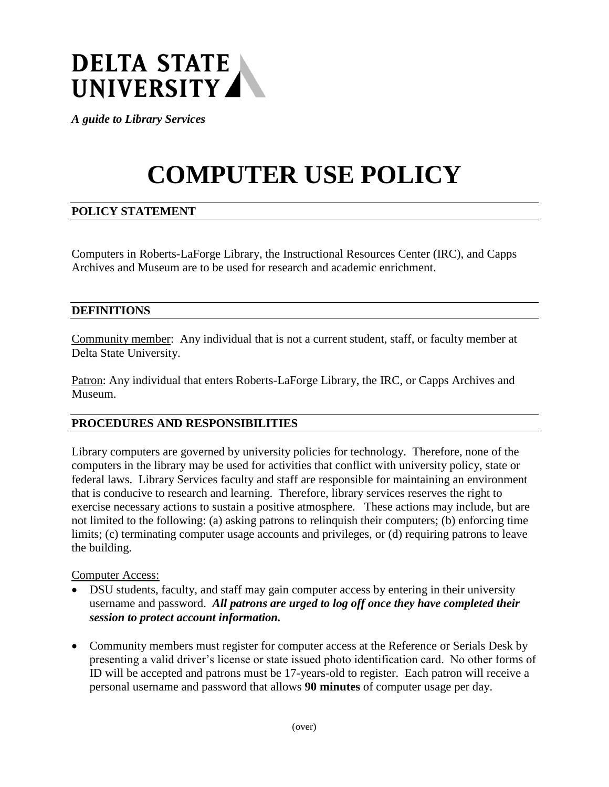

*A guide to Library Services*

# **COMPUTER USE POLICY**

# **POLICY STATEMENT**

Computers in Roberts-LaForge Library, the Instructional Resources Center (IRC), and Capps Archives and Museum are to be used for research and academic enrichment.

### **DEFINITIONS**

Community member: Any individual that is not a current student, staff, or faculty member at Delta State University.

Patron: Any individual that enters Roberts-LaForge Library, the IRC, or Capps Archives and Museum.

#### **PROCEDURES AND RESPONSIBILITIES**

Library computers are governed by university policies for technology. Therefore, none of the computers in the library may be used for activities that conflict with university policy, state or federal laws. Library Services faculty and staff are responsible for maintaining an environment that is conducive to research and learning. Therefore, library services reserves the right to exercise necessary actions to sustain a positive atmosphere. These actions may include, but are not limited to the following: (a) asking patrons to relinquish their computers; (b) enforcing time limits; (c) terminating computer usage accounts and privileges, or (d) requiring patrons to leave the building.

#### Computer Access:

- DSU students, faculty, and staff may gain computer access by entering in their university username and password. *All patrons are urged to log off once they have completed their session to protect account information.*
- Community members must register for computer access at the Reference or Serials Desk by presenting a valid driver's license or state issued photo identification card. No other forms of ID will be accepted and patrons must be 17-years-old to register. Each patron will receive a personal username and password that allows **90 minutes** of computer usage per day.